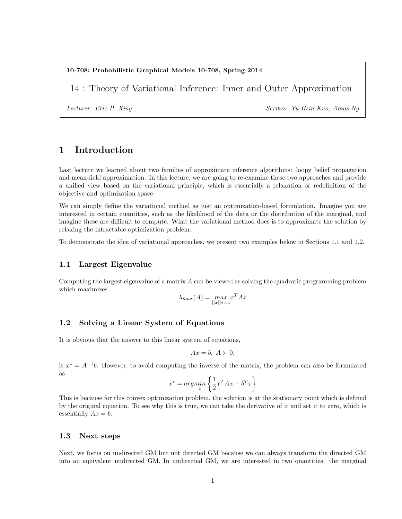#### 10-708: Probabilistic Graphical Models 10-708, Spring 2014

14 : Theory of Variational Inference: Inner and Outer Approximation

Lecturer: Eric P. Xing Scribes: Yu-Hsin Kuo, Amos Ng

# 1 Introduction

Last lecture we learned about two families of approximate inference algorithms: loopy belief propagation and mean-field approximation. In this lecture, we are going to re-examine these two approaches and provide a unified view based on the variational principle, which is essentially a relaxation or redefinition of the objective and optimization space.

We can simply define the variational method as just an optimization-based formulation. Imagine you are interested in certain quantities, such as the likelihood of the data or the distribution of the marginal, and imagine these are difficult to compute. What the variational method does is to approximate the solution by relaxing the intractable optimization problem.

To demonstrate the idea of variational approaches, we present two examples below in Sections 1.1 and 1.2.

#### 1.1 Largest Eigenvalue

Computing the largest eigenvalue of a matrix  $A$  can be viewed as solving the quadratic programming problem which maximizes

$$
\lambda_{max}(A) = \max_{||x||_2 = 1} x^T A x
$$

## 1.2 Solving a Linear System of Equations

It is obvious that the answer to this linear system of equations,

$$
Ax = b, \ A \succ 0,
$$

is  $x^* = A^{-1}b$ . However, to avoid computing the inverse of the matrix, the problem can also be formulated as

$$
x^* = argmin_x \left\{ \frac{1}{2} x^T A x - b^T x \right\}
$$

This is because for this convex optimization problem, the solution is at the stationary point which is defined by the original equation. To see why this is true, we can take the derivative of it and set it to zero, which is essentially  $Ax = b$ .

#### 1.3 Next steps

Next, we focus on undirected GM but not directed GM because we can always transform the directed GM into an equivalent undirected GM. In undirected GM, we are interested in two quantities: the marginal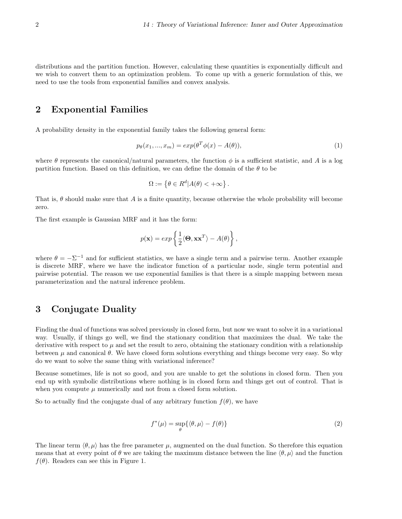distributions and the partition function. However, calculating these quantities is exponentially difficult and we wish to convert them to an optimization problem. To come up with a generic formulation of this, we need to use the tools from exponential families and convex analysis.

## 2 Exponential Families

A probability density in the exponential family takes the following general form:

$$
p_{\theta}(x_1, ..., x_m) = exp(\theta^T \phi(x) - A(\theta)),
$$
\n(1)

where  $\theta$  represents the canonical/natural parameters, the function  $\phi$  is a sufficient statistic, and A is a log partition function. Based on this definition, we can define the domain of the  $\theta$  to be

$$
\Omega := \left\{ \theta \in R^d | A(\theta) < +\infty \right\}.
$$

That is, θ should make sure that A is a finite quantity, because otherwise the whole probability will become zero.

The first example is Gaussian MRF and it has the form:

$$
p(\mathbf{x}) = exp\left\{\frac{1}{2}\langle \mathbf{\Theta}, \mathbf{x}\mathbf{x}^T \rangle - A(\theta)\right\},\,
$$

where  $\theta = -\Sigma^{-1}$  and for sufficient statistics, we have a single term and a pairwise term. Another example is discrete MRF, where we have the indicator function of a particular node, single term potential and pairwise potential. The reason we use exponential families is that there is a simple mapping between mean parameterization and the natural inference problem.

## 3 Conjugate Duality

Finding the dual of functions was solved previously in closed form, but now we want to solve it in a variational way. Usually, if things go well, we find the stationary condition that maximizes the dual. We take the derivative with respect to  $\mu$  and set the result to zero, obtaining the stationary condition with a relationship between  $\mu$  and canonical  $\theta$ . We have closed form solutions everything and things become very easy. So why do we want to solve the same thing with variational inference?

Because sometimes, life is not so good, and you are unable to get the solutions in closed form. Then you end up with symbolic distributions where nothing is in closed form and things get out of control. That is when you compute  $\mu$  numerically and not from a closed form solution.

So to actually find the conjugate dual of any arbitrary function  $f(\theta)$ , we have

$$
f^*(\mu) = \sup_{\theta} \{ \langle \theta, \mu \rangle - f(\theta) \}
$$
 (2)

The linear term  $\langle \theta, \mu \rangle$  has the free parameter  $\mu$ , augmented on the dual function. So therefore this equation means that at every point of  $\theta$  we are taking the maximum distance between the line  $\langle \theta, \mu \rangle$  and the function  $f(\theta)$ . Readers can see this in Figure 1.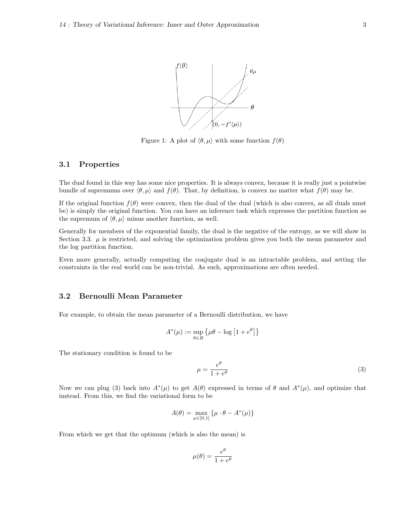

Figure 1: A plot of  $\langle \theta, \mu \rangle$  with some function  $f(\theta)$ 

### 3.1 Properties

The dual found in this way has some nice properties. It is always convex, because it is really just a pointwise bundle of supremums over  $\langle \theta, \mu \rangle$  and  $f(\theta)$ . That, by definition, is convex no matter what  $f(\theta)$  may be.

If the original function  $f(\theta)$  were convex, then the dual of the dual (which is also convex, as all duals must be) is simply the original function. You can have an inference task which expresses the partition function as the supremum of  $\langle \theta, \mu \rangle$  minus another function, as well.

Generally for members of the exponential family, the dual is the negative of the entropy, as we will show in Section 3.3.  $\mu$  is restricted, and solving the optimization problem gives you both the mean parameter and the log partition function.

Even more generally, actually computing the conjugate dual is an intractable problem, and setting the constraints in the real world can be non-trivial. As such, approximations are often needed.

### 3.2 Bernoulli Mean Parameter

For example, to obtain the mean parameter of a Bernoulli distribution, we have

$$
A^*(\mu) := \sup_{\theta \in R} \left\{ \mu\theta - \log \left[ 1 + e^{\theta} \right] \right\}
$$

The stationary condition is found to be

$$
\mu = \frac{e^{\theta}}{1 + e^{\theta}}\tag{3}
$$

Now we can plug (3) back into  $A^*(\mu)$  to get  $A(\theta)$  expressed in terms of  $\theta$  and  $A^*(\mu)$ , and optimize that instead. From this, we find the variational form to be

$$
A(\theta) = \max_{\mu \in [0,1]} \left\{ \mu \cdot \theta - A^*(\mu) \right\}
$$

From which we get that the optimum (which is also the mean) is

$$
\mu(\theta) = \frac{e^{\theta}}{1 + e^{\theta}}
$$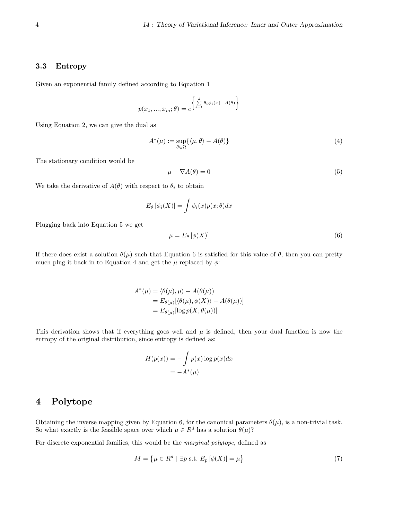### 3.3 Entropy

Given an exponential family defined according to Equation 1

$$
p(x_1, ..., x_m; \theta) = e^{\left\{\sum_{i=1}^d \theta_i \phi_i(x) - A(\theta)\right\}}
$$

Using Equation 2, we can give the dual as

$$
A^*(\mu) := \sup_{\theta \in \Omega} \{ \langle \mu, \theta \rangle - A(\theta) \}
$$
\n(4)

The stationary condition would be

$$
\mu - \nabla A(\theta) = 0 \tag{5}
$$

We take the derivative of  $A(\theta)$  with respect to  $\theta_i$  to obtain

$$
E_{\theta} [\phi_i(X)] = \int \phi_i(x) p(x; \theta) dx
$$

Plugging back into Equation 5 we get

$$
\mu = E_{\theta} \left[ \phi(X) \right] \tag{6}
$$

If there does exist a solution  $\theta(\mu)$  such that Equation 6 is satisfied for this value of  $\theta$ , then you can pretty much plug it back in to Equation 4 and get the  $\mu$  replaced by  $\phi$ :

$$
A^*(\mu) = \langle \theta(\mu), \mu \rangle - A(\theta(\mu))
$$
  
=  $E_{\theta(\mu)}[\langle \theta(\mu), \phi(X) \rangle - A(\theta(\mu))]$   
=  $E_{\theta(\mu)}[\log p(X; \theta(\mu))]$ 

This derivation shows that if everything goes well and  $\mu$  is defined, then your dual function is now the entropy of the original distribution, since entropy is defined as:

$$
H(p(x)) = -\int p(x) \log p(x) dx
$$
  
=  $-A^*(\mu)$ 

# 4 Polytope

Obtaining the inverse mapping given by Equation 6, for the canonical parameters  $\theta(\mu)$ , is a non-trivial task. So what exactly is the feasible space over which  $\mu \in R^d$  has a solution  $\theta(\mu)$ ?

For discrete exponential families, this would be the marginal polytope, defined as

$$
M = \left\{ \mu \in R^d \mid \exists p \text{ s.t. } E_p \left[ \phi(X) \right] = \mu \right\} \tag{7}
$$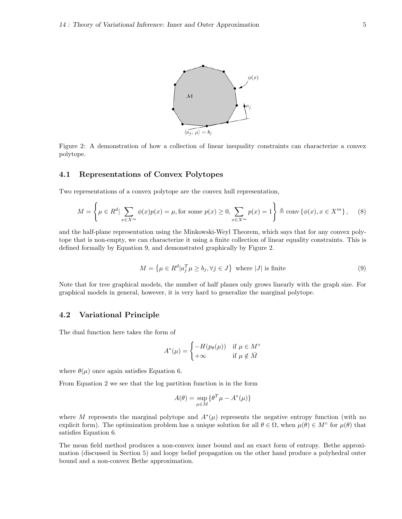

Figure 2: A demonstration of how a collection of linear inequality constraints can characterize a convex polytope.

### 4.1 Representations of Convex Polytopes

Two representations of a convex polytope are the convex hull representation,

$$
M = \left\{ \mu \in R^d \mid \sum_{x \in X^m} \phi(x) p(x) = \mu, \text{ for some } p(x) \ge 0, \sum_{x \in X^m} p(x) = 1 \right\} \triangleq \text{conv} \left\{ \phi(x), x \in X^m \right\}, \quad (8)
$$

and the half-plane representation using the Minkowski-Weyl Theorem, which says that for any convex polytope that is non-empty, we can characterize it using a finite collection of linear equality constraints. This is defined formally by Equation 9, and demonstrated graphically by Figure 2.

$$
M = \left\{ \mu \in R^d | a_j^T \mu \ge b_j, \forall j \in J \right\} \text{ where } |J| \text{ is finite}
$$
\n
$$
(9)
$$

Note that for tree graphical models, the number of half planes only grows linearly with the graph size. For graphical models in general, however, it is very hard to generalize the marginal polytope.

#### 4.2 Variational Principle

The dual function here takes the form of

$$
A^*(\mu) = \begin{cases} -H(p_\theta(\mu)) & \text{if } \mu \in M^\circ \\ +\infty & \text{if } \mu \notin \bar{M} \end{cases}
$$

where  $\theta(\mu)$  once again satisfies Equation 6.

From Equation 2 we see that the log partition function is in the form

$$
A(\theta) = \sup_{\mu \in M} \{ \theta^T \mu - A^*(\mu) \}
$$

where M represents the marginal polytope and  $A^*(\mu)$  represents the negative entropy function (with no explicit form). The optimization problem has a unique solution for all  $\theta \in \Omega$ , when  $\mu(\theta) \in M^{\circ}$  for  $\mu(\theta)$  that satisfies Equation 6.

The mean field method produces a non-convex inner bound and an exact form of entropy. Bethe approximation (discussed in Section 5) and loopy belief propagation on the other hand produce a polyhedral outer bound and a non-convex Bethe approximation.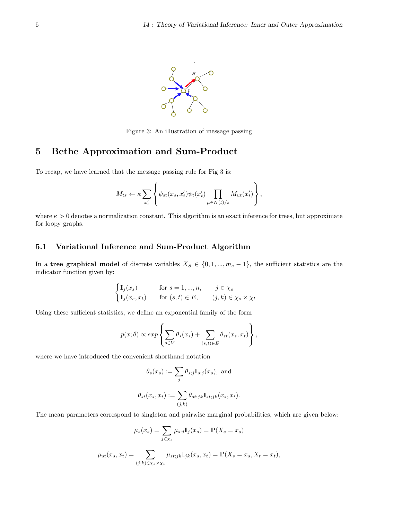

Figure 3: An illustration of message passing

## 5 Bethe Approximation and Sum-Product

To recap, we have learned that the message passing rule for Fig 3 is:

$$
M_{ts} \leftarrow \kappa \sum_{x'_t} \left\{ \psi_{st}(x_s, x'_t) \psi_t(x'_t) \prod_{\mu \in N(t)/s} M_{ut}(x'_t) \right\},\,
$$

where  $\kappa > 0$  denotes a normalization constant. This algorithm is an exact inference for trees, but approximate for loopy graphs.

#### 5.1 Variational Inference and Sum-Product Algorithm

In a tree graphical model of discrete variables  $X_S \in \{0, 1, ..., m_s - 1\}$ , the sufficient statistics are the indicator function given by:

$$
\begin{cases} \mathbb{I}_j(x_s) & \text{for } s = 1, ..., n, \quad j \in \chi_s \\ \mathbb{I}_j(x_s, x_t) & \text{for } (s, t) \in E, \quad (j, k) \in \chi_s \times \chi_t \end{cases}
$$

Using these sufficient statistics, we define an exponential family of the form

$$
p(x; \theta) \propto exp \left\{ \sum_{s \in V} \theta_s(x_s) + \sum_{(s,t) \in E} \theta_{st}(x_s, x_t) \right\},\,
$$

where we have introduced the convenient shorthand notation

$$
\theta_s(x_s) := \sum_j \theta_{s;j} \mathbb{I}_{s;j}(x_s), \text{ and}
$$
  

$$
\theta_{st}(x_s, x_t) := \sum_{(j,k)} \theta_{st;jk} \mathbb{I}_{st;jk}(x_s, x_t).
$$

The mean parameters correspond to singleton and pairwise marginal probabilities, which are given below:

$$
\mu_s(x_s) = \sum_{j \in \chi_s} \mu_{s:j} \mathbb{I}_j(x_s) = \mathbb{P}(X_s = x_s)
$$

$$
\mu_{st}(x_s, x_t) = \sum_{(j,k) \in \chi_s \times \chi_t} \mu_{st;jk} \mathbb{I}_{jk}(x_s, x_t) = \mathbb{P}(X_s = x_s, X_t = x_t),
$$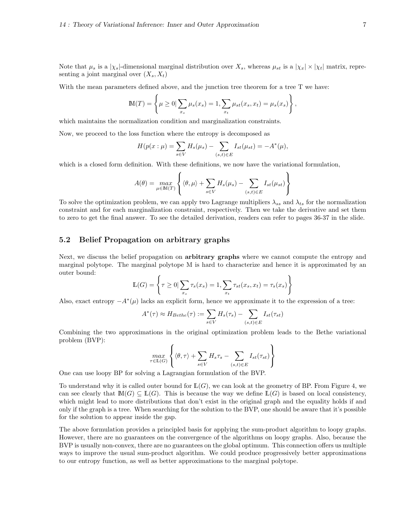Note that  $\mu_s$  is a  $|\chi_s|$ -dimensional marginal distribution over  $X_s$ , whereas  $\mu_{st}$  is a  $|\chi_x| \times |\chi_t|$  matrix, representing a joint marginal over  $(X_s, X_t)$ 

With the mean parameters defined above, and the junction tree theorem for a tree T we have:

$$
\mathbb{M}(T) = \left\{ \mu \ge 0 \vert \sum_{x_s} \mu_s(x_s) = 1, \sum_{x_t} \mu_{st}(x_s, x_t) = \mu_s(x_s) \right\},\,
$$

which maintains the normalization condition and marginalization constraints.

Now, we proceed to the loss function where the entropy is decomposed as

$$
H(p(x : \mu) = \sum_{s \in V} H_s(\mu_s) - \sum_{(s,t) \in E} I_{st}(\mu_{st}) = -A^*(\mu),
$$

which is a closed form definition. With these definitions, we now have the variational formulation,

$$
A(\theta) = \max_{\mu \in \mathbb{M}(T)} \left\{ \langle \theta, \mu \rangle + \sum_{s \in V} H_s(\mu_s) - \sum_{(s,t) \in E} I_{st}(\mu_{st}) \right\}
$$

To solve the optimization problem, we can apply two Lagrange multipliers  $\lambda_{ss}$  and  $\lambda_{ts}$  for the normalization constraint and for each marginalization constraint, respectively. Then we take the derivative and set them to zero to get the final answer. To see the detailed derivation, readers can refer to pages 36-37 in the slide.

### 5.2 Belief Propagation on arbitrary graphs

Next, we discuss the belief propagation on **arbitrary graphs** where we cannot compute the entropy and marginal polytope. The marginal polytope M is hard to characterize and hence it is approximated by an outer bound:

$$
\mathbb{L}(G) = \left\{ \tau \ge 0 \mid \sum_{x_s} \tau_s(x_s) = 1, \sum_{x_t} \tau_{st}(x_s, x_t) = \tau_s(x_s) \right\}
$$

Also, exact entropy  $-A^*(\mu)$  lacks an explicit form, hence we approximate it to the expression of a tree:

$$
A^*(\tau) \approx H_{Bethe}(\tau) := \sum_{s \in V} H_s(\tau_s) - \sum_{(s,t) \in E} I_{st}(\tau_{st})
$$

Combining the two approximations in the original optimization problem leads to the Bethe variational problem (BVP):

$$
\max_{\tau \in \mathbb{L}(G)} \left\{ \langle \theta, \tau \rangle + \sum_{s \in V} H_s \tau_s - \sum_{(s,t) \in E} I_{st}(\tau_{st}) \right\}
$$

One can use loopy BP for solving a Lagrangian formulation of the BVP.

To understand why it is called outer bound for  $L(G)$ , we can look at the geometry of BP. From Figure 4, we can see clearly that  $\mathbb{M}(G) \subseteq \mathbb{L}(G)$ . This is because the way we define  $\mathbb{L}(G)$  is based on local consistency, which might lead to more distributions that don't exist in the original graph and the equality holds if and only if the graph is a tree. When searching for the solution to the BVP, one should be aware that it's possible for the solution to appear inside the gap.

The above formulation provides a principled basis for applying the sum-product algorithm to loopy graphs. However, there are no guarantees on the convergence of the algorithms on loopy graphs. Also, because the BVP is usually non-convex, there are no guarantees on the global optimum. This connection offers us multiple ways to improve the usual sum-product algorithm. We could produce progressively better approximations to our entropy function, as well as better approximations to the marginal polytope.